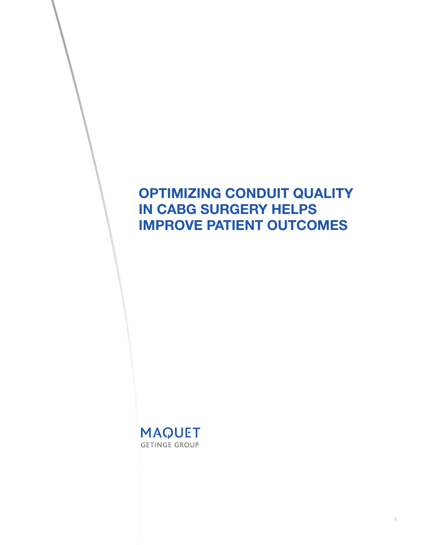# OPTIMIZING CONDUIT QUALITY IN CABG SURGERY HELPS IMPROVE PATIENT OUTCOMES

1

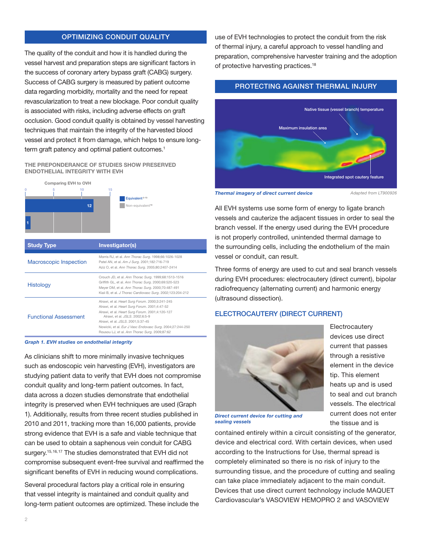## OPTIMIZING CONDUIT QUALITY

The quality of the conduit and how it is handled during the vessel harvest and preparation steps are significant factors in the success of coronary artery bypass graft (CABG) surgery. Success of CABG surgery is measured by patient outcome data regarding morbidity, mortality and the need for repeat revascularization to treat a new blockage. Poor conduit quality is associated with risks, including adverse effects on graft occlusion. Good conduit quality is obtained by vessel harvesting techniques that maintain the integrity of the harvested blood vessel and protect it from damage, which helps to ensure longterm graft patency and optimal patient outcomes.<sup>1</sup>

#### THE PREPONDERANCE OF STUDIES SHOW PRESERVED ENDOTHELIAL INTEGRITY WITH EVH



|                  | Kiaii B, et al. J Thorac Cardiovasc Surg. 2002;123:204-212                                                                                                                                                                                                                                                                                |
|------------------|-------------------------------------------------------------------------------------------------------------------------------------------------------------------------------------------------------------------------------------------------------------------------------------------------------------------------------------------|
| ional Assessment | Alrawi, et al. Heart Surg Forum. 2000;3:241-245<br>Alrawi, et al. Heart Surg Forum. 2001;4:47-52<br>Alrawi, et al. Heart Surg Forum. 2001;4:120-127<br>Alrawi, et al. JSLS. 2002;6:5-9<br>Alrawi, et al. JSLS, 2001:5:37-45<br>Nowicki, et al. Eur J Vasc Endovasc Surg. 2004;27:244-250<br>Rousou LJ, et al. Ann Thorac Surg. 2009;87:62 |
|                  |                                                                                                                                                                                                                                                                                                                                           |

Graph 1. EVH studies on endothelial integrity

As clinicians shift to more minimally invasive techniques such as endoscopic vein harvesting (EVH), investigators are studying patient data to verify that EVH does not compromise conduit quality and long-term patient outcomes. In fact, data across a dozen studies demonstrate that endothelial integrity is preserved when EVH techniques are used (Graph 1). Additionally, results from three recent studies published in 2010 and 2011, tracking more than 16,000 patients, provide strong evidence that EVH is a safe and viable technique that can be used to obtain a saphenous vein conduit for CABG surgery.<sup>15,16,17</sup> The studies demonstrated that EVH did not compromise subsequent event-free survival and reaffirmed the significant benefits of EVH in reducing wound complications.

Several procedural factors play a critical role in ensuring that vessel integrity is maintained and conduit quality and long-term patient outcomes are optimized. These include the use of EVH technologies to protect the conduit from the risk of thermal injury, a careful approach to vessel handling and preparation, comprehensive harvester training and the adoption of protective harvesting practices.<sup>18</sup>

# PROTECTING AGAINST THERMAL INJURY



Thermal imagery of direct current device

*Adapted from LT900926*

All EVH systems use some form of energy to ligate branch vessels and cauterize the adjacent tissues in order to seal the branch vessel. If the energy used during the EVH procedure is not properly controlled, unintended thermal damage to the surrounding cells, including the endothelium of the main vessel or conduit, can result.

Three forms of energy are used to cut and seal branch vessels during EVH procedures: electrocautery (direct current), bipolar radiofrequency (alternating current) and harmonic energy (ultrasound dissection).

## ELECTROCAUTERY (DIRECT CURRENT)



**Electrocautery** devices use direct current that passes through a resistive element in the device tip. This element heats up and is used to seal and cut branch vessels. The electrical current does not enter the tissue and is

Direct current device for cutting and sealing vessels

contained entirely within a circuit consisting of the generator, device and electrical cord. With certain devices, when used according to the Instructions for Use, thermal spread is completely eliminated so there is no risk of injury to the surrounding tissue, and the procedure of cutting and sealing can take place immediately adjacent to the main conduit. Devices that use direct current technology include MAQUET Cardiovascular's VASOVIEW HEMOPRO 2 and VASOVIEW

Functional **Assessment**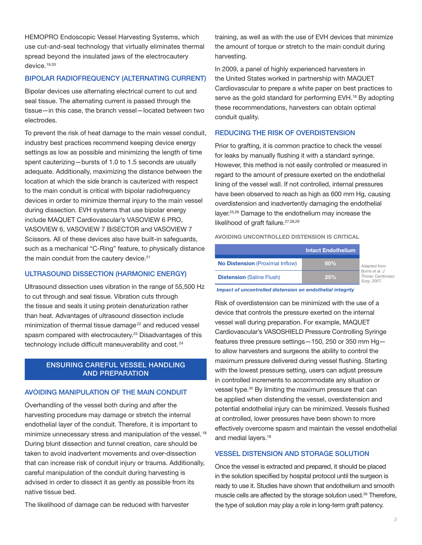HEMOPRO Endoscopic Vessel Harvesting Systems, which use cut-and-seal technology that virtually eliminates thermal spread beyond the insulated jaws of the electrocautery device.19,20

## BIPOLAR RADIOFREQUENCY (ALTERNATING CURRENT)

Bipolar devices use alternating electrical current to cut and seal tissue. The alternating current is passed through the tissue—in this case, the branch vessel—located between two electrodes.

To prevent the risk of heat damage to the main vessel conduit, industry best practices recommend keeping device energy settings as low as possible and minimizing the length of time spent cauterizing—bursts of 1.0 to 1.5 seconds are usually adequate. Additionally, maximizing the distance between the location at which the side branch is cauterized with respect to the main conduit is critical with bipolar radiofrequency devices in order to minimize thermal injury to the main vessel during dissection. EVH systems that use bipolar energy include MAQUET Cardiovascular's VASOVIEW 6 PRO, VASOVIEW 6, VASOVIEW 7 BiSECTOR and VASOVIEW 7 Scissors. All of these devices also have built-in safeguards, such as a mechanical "C-Ring" feature, to physically distance the main conduit from the cautery device.<sup>21</sup>

## ULTRASOUND DISSECTION (HARMONIC ENERGY)

Ultrasound dissection uses vibration in the range of 55,500 Hz to cut through and seal tissue. Vibration cuts through the tissue and seals it using protein denaturization rather than heat. Advantages of ultrasound dissection include minimization of thermal tissue damage<sup>22</sup> and reduced vessel spasm compared with electrocautery.23 Disadvantages of this technology include difficult maneuverability and cost.<sup>24</sup>

## ENSURING CAREFUL VESSEL HANDLING AND PREPARATION

### AVOIDING MANIPULATION OF THE MAIN CONDUIT

Overhandling of the vessel both during and after the harvesting procedure may damage or stretch the internal endothelial layer of the conduit. Therefore, it is important to minimize unnecessary stress and manipulation of the vessel. <sup>18</sup> During blunt dissection and tunnel creation, care should be taken to avoid inadvertent movements and over-dissection that can increase risk of conduit injury or trauma. Additionally, careful manipulation of the conduit during harvesting is advised in order to dissect it as gently as possible from its native tissue bed.

The likelihood of damage can be reduced with harvester

training, as well as with the use of EVH devices that minimize the amount of torque or stretch to the main conduit during harvesting.

In 2009, a panel of highly experienced harvesters in the United States worked in partnership with MAQUET Cardiovascular to prepare a white paper on best practices to serve as the gold standard for performing EVH.<sup>18</sup> By adopting these recommendations, harvesters can obtain optimal conduit quality.

#### REDUCING THE RISK OF OVERDISTENSION

Prior to grafting, it is common practice to check the vessel for leaks by manually flushing it with a standard syringe. However, this method is not easily controlled or measured in regard to the amount of pressure exerted on the endothelial lining of the vessel wall. If not controlled, internal pressures have been observed to reach as high as 600 mm Hg, causing overdistension and inadvertently damaging the endothelial layer.25,26 Damage to the endothelium may increase the likelihood of graft failure.<sup>27,28,29</sup>

AVOIDING UNCONTROLLED DISTENSION IS CRITICAL

|                                        | <b>Intact Endothelium</b> |                                                                            |
|----------------------------------------|---------------------------|----------------------------------------------------------------------------|
| <b>No Distension (Proximal Inflow)</b> | $60\%$                    | Adapted from<br>Burris et al. J<br><b>Thorac Cardiovasc</b><br>Sura, 2007. |
| <b>Distension (Saline Flush)</b>       | 25%                       |                                                                            |

Impact of uncontrolled distension on endothelial integrity

Risk of overdistension can be minimized with the use of a device that controls the pressure exerted on the internal vessel wall during preparation. For example, MAQUET Cardiovascular's VASOSHIELD Pressure Controlling Syringe features three pressure settings—150, 250 or 350 mm Hg to allow harvesters and surgeons the ability to control the maximum pressure delivered during vessel flushing. Starting with the lowest pressure setting, users can adjust pressure in controlled increments to accommodate any situation or vessel type.<sup>30</sup> By limiting the maximum pressure that can be applied when distending the vessel, overdistension and potential endothelial injury can be minimized. Vessels flushed at controlled, lower pressures have been shown to more effectively overcome spasm and maintain the vessel endothelial and medial layers.<sup>18</sup>

## VESSEL DISTENSION AND STORAGE SOLUTION

Once the vessel is extracted and prepared, it should be placed in the solution specified by hospital protocol until the surgeon is ready to use it. Studies have shown that endothelium and smooth muscle cells are affected by the storage solution used.<sup>26</sup> Therefore, the type of solution may play a role in long-term graft patency.